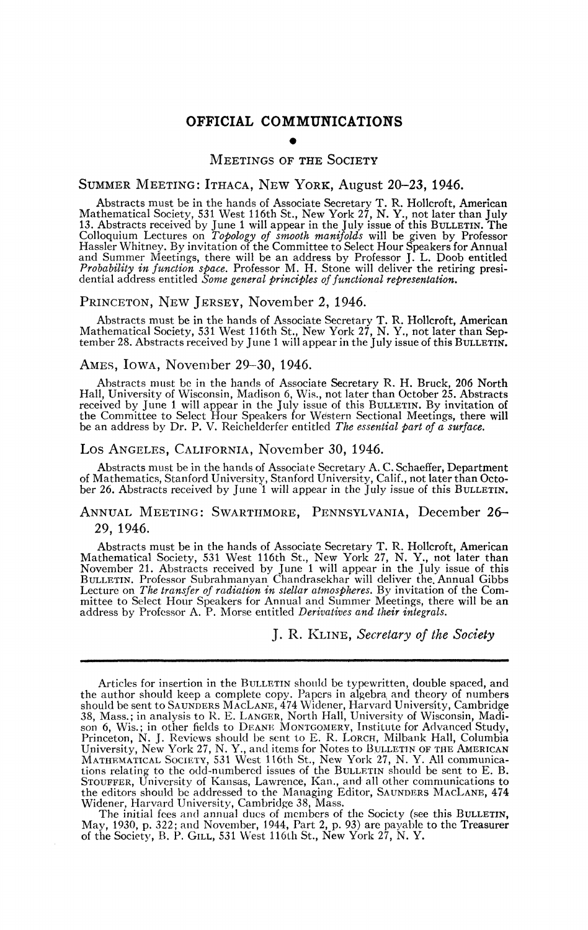# **OFFICIAL COMMUNICATIONS**

# MEETINGS OF THE SOCIETY

## SUMMER MEETING: ITHACA, NEW YORK, August 20-23, 1946.

Abstracts must be in the hands of Associate Secretary T. R. Hollcroft, American<br>Mathematical Society, 531 West 116th St., New York 27, N. Y., not later than July<br>13. Abstracts received by June 1 will appear in the July iss and Summer Meetings, there will be an address by Professor J. L. Doob entitled *Probability in function space.* Professor M. H. Stone will deliver the retiring presidential address entitled Some general principles of functional representation.

#### PRINCETON, NEW JERSEY, November 2, 1946.

Abstracts must be in the hands of Associate Secretary T. R. Hollcroft, American Mathematical Society, 531 West 116th St., New York 27, N. Y., not later than September 28. Abstracts received by June 1 will appear in the July issue of this BULLETIN.

### AMES, IOWA, November 29-30, 1946.

Abstracts must be in the hands of Associate Secretary R. H. Bruck, 206 North Hall, University of Wisconsin, Madison 6, Wis., not later than October 25. Abstracts received by June 1 will appear in the July issue of this BULLETIN. By invitation of the Committee to Select Hour Speakers for Western Sectional Meetings, there will be an address by Dr. P. V. Reichelderfer entitled *The es* 

#### Los ANGELES, CALIFORNIA, November 30, 1946.

Abstracts must be in the hands of Associate Secretary A. C. Schaeffer, Department of Mathematics, Stanford University, Stanford University, Calif., not later than Octo-ber 26. Abstracts received by June '1 will appear in the July issue of this BULLETIN.

# ANNUAL MEETING: SWARTHMORE, PENNSYLVANIA, December 26- 29, 1946.

Abstracts must be in the hands of Associate Secretary T. R. Hollcroft, American<br>Mathematical Society, 531 West 116th St., New York 27, N. Y., not later than<br>November 21. Abstracts received by June 1 will appear in the July Lecture on The transfer of radiation in stellar atmospheres. By invitation of the Committee to Select Hour Speakers for Annual and Summer Meetings, there will be an address by Professor A. P. Morse entitled *Derivatives an* 

# J. R. KLINE, *Secretary of the Society*

The initial fees and annual dues of members of the Society (see this BULLETIN, May, 1930, p. 322; and November, 1944, Part 2, p. 93) are payable to the Treasurer of the Society, B. P. GILL, 531 West 116th St., New York 27, N. Y.

Articles for insertion in the BULLETIN should be typewritten, double spaced, and<br>the author should keep a complete copy. Papers in algebra and theory of numbers<br>should be sent to SAUNDERS MACLANE, 474 Widener, Harvard Univ son 6, Wis.; in other fields to DEANE MONTGOMERY, Institute for Advanced Study, Princeton, N. J. Reviews should be sent to E. R. LORCH, Milbank Hall, Columbia University, New York 27, N. Y., and items for Notes to BULLETIN STOUFFER, University of Kansas, Lawrence, Kan., and all other communications to the editors should be addressed to the Managing Editor, SAUNDERS MACLANE, 474 Widener, Harvard University, Cambridge 38, Mass.